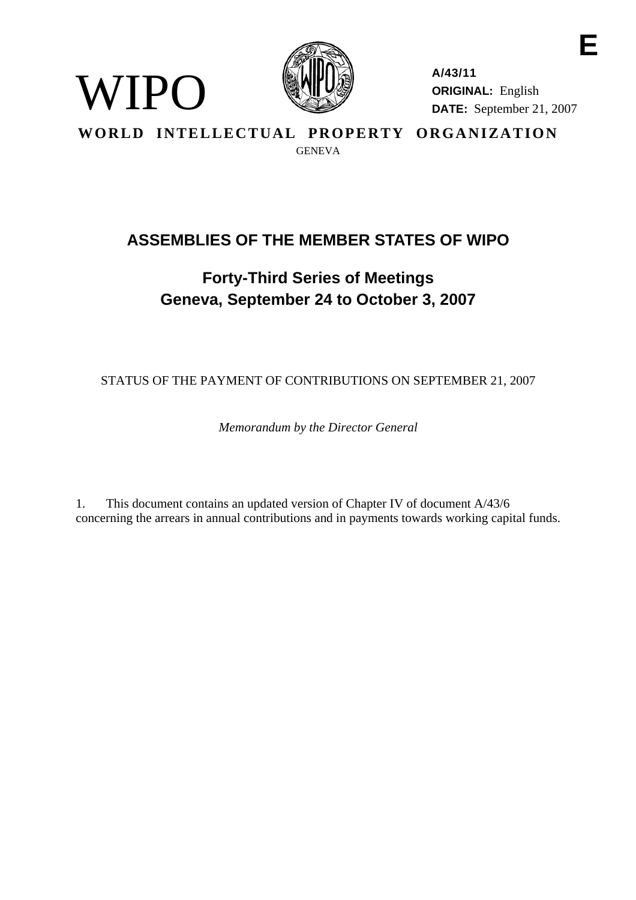

WIPO

**A/43/11 ORIGINAL:** English **DATE:** September 21, 2007

**E** 

**WORLD INTELLECTUAL PROPERTY ORGANIZATION GENEVA** 

# **ASSEMBLIES OF THE MEMBER STATES OF WIPO**

# **Forty-Third Series of Meetings Geneva, September 24 to October 3, 2007**

STATUS OF THE PAYMENT OF CONTRIBUTIONS ON SEPTEMBER 21, 2007

*Memorandum by the Director General* 

1. This document contains an updated version of Chapter IV of document A/43/6 concerning the arrears in annual contributions and in payments towards working capital funds.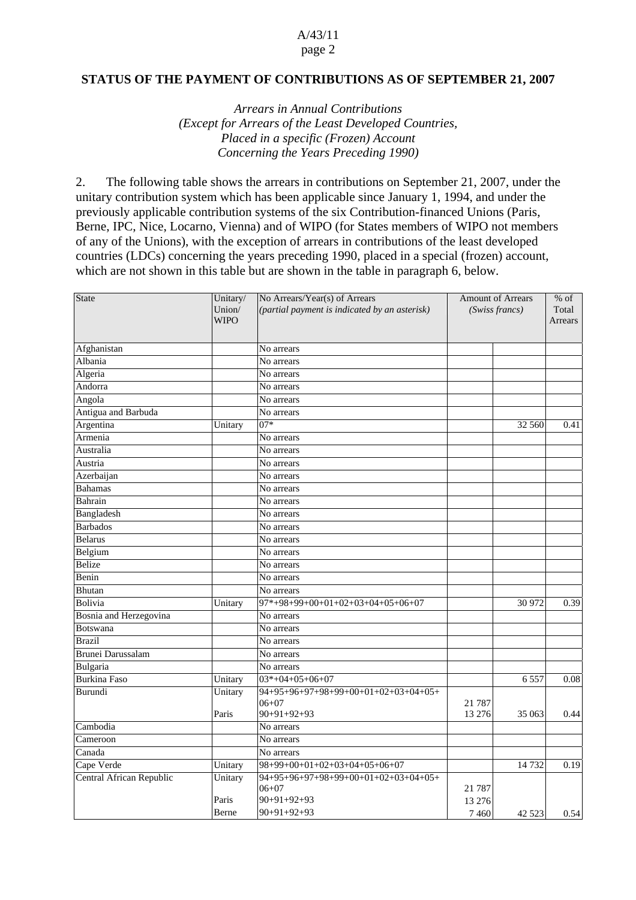# A/43/11

#### page 2

#### **STATUS OF THE PAYMENT OF CONTRIBUTIONS AS OF SEPTEMBER 21, 2007**

*Arrears in Annual Contributions (Except for Arrears of the Least Developed Countries, Placed in a specific (Frozen) Account Concerning the Years Preceding 1990)*

2. The following table shows the arrears in contributions on September 21, 2007, under the unitary contribution system which has been applicable since January 1, 1994, and under the previously applicable contribution systems of the six Contribution-financed Unions (Paris, Berne, IPC, Nice, Locarno, Vienna) and of WIPO (for States members of WIPO not members of any of the Unions), with the exception of arrears in contributions of the least developed countries (LDCs) concerning the years preceding 1990, placed in a special (frozen) account, which are not shown in this table but are shown in the table in paragraph 6, below.

| State                    | Unitary/<br>Union/<br><b>WIPO</b> | No Arrears/Year(s) of Arrears<br>(partial payment is indicated by an asterisk) | <b>Amount of Arrears</b><br>(Swiss francs) |         | $%$ of<br>Total<br>Arrears |  |
|--------------------------|-----------------------------------|--------------------------------------------------------------------------------|--------------------------------------------|---------|----------------------------|--|
|                          |                                   |                                                                                |                                            |         |                            |  |
| Afghanistan              |                                   | No arrears                                                                     |                                            |         |                            |  |
| Albania                  |                                   | No arrears                                                                     |                                            |         |                            |  |
| Algeria                  |                                   | No arrears                                                                     |                                            |         |                            |  |
| Andorra                  |                                   | No arrears                                                                     |                                            |         |                            |  |
| Angola                   |                                   | No arrears                                                                     |                                            |         |                            |  |
| Antigua and Barbuda      |                                   | No arrears                                                                     |                                            |         |                            |  |
| Argentina                | Unitary                           | $07*$                                                                          |                                            | 32 560  | 0.41                       |  |
| Armenia                  |                                   | No arrears                                                                     |                                            |         |                            |  |
| Australia                |                                   | No arrears                                                                     |                                            |         |                            |  |
| Austria                  |                                   | No arrears                                                                     |                                            |         |                            |  |
| Azerbaijan               |                                   | No arrears                                                                     |                                            |         |                            |  |
| <b>Bahamas</b>           |                                   | No arrears                                                                     |                                            |         |                            |  |
| Bahrain                  |                                   | No arrears                                                                     |                                            |         |                            |  |
| Bangladesh               |                                   | No arrears                                                                     |                                            |         |                            |  |
| <b>Barbados</b>          |                                   | No arrears                                                                     |                                            |         |                            |  |
| <b>Belarus</b>           |                                   | No arrears                                                                     |                                            |         |                            |  |
| Belgium                  |                                   | No arrears                                                                     |                                            |         |                            |  |
| Belize                   |                                   | No arrears                                                                     |                                            |         |                            |  |
| Benin                    |                                   | No arrears                                                                     |                                            |         |                            |  |
| Bhutan                   |                                   | No arrears                                                                     |                                            |         |                            |  |
| <b>Bolivia</b>           | Unitary                           | $97*+98+99+00+01+02+03+04+05+06+07$                                            |                                            | 30 972  | 0.39                       |  |
| Bosnia and Herzegovina   |                                   | No arrears                                                                     |                                            |         |                            |  |
| Botswana                 |                                   | No arrears                                                                     |                                            |         |                            |  |
| <b>Brazil</b>            |                                   | No arrears                                                                     |                                            |         |                            |  |
| Brunei Darussalam        |                                   | No arrears                                                                     |                                            |         |                            |  |
| Bulgaria                 |                                   | No arrears                                                                     |                                            |         |                            |  |
| <b>Burkina Faso</b>      | Unitary                           | $03*+04+05+06+07$                                                              |                                            | 6557    | 0.08                       |  |
| Burundi                  | Unitary                           | 94+95+96+97+98+99+00+01+02+03+04+05+                                           |                                            |         |                            |  |
|                          |                                   | $06 + 07$                                                                      | 21 7 8 7                                   |         |                            |  |
|                          | Paris                             | $90+91+92+93$                                                                  | 13 27 6                                    | 35 063  | 0.44                       |  |
| Cambodia                 |                                   | No arrears                                                                     |                                            |         |                            |  |
| Cameroon                 |                                   | No arrears                                                                     |                                            |         |                            |  |
| Canada                   |                                   | No arrears                                                                     |                                            |         |                            |  |
| Cape Verde               | Unitary                           | 98+99+00+01+02+03+04+05+06+07                                                  |                                            | 14 7 32 | 0.19                       |  |
| Central African Republic | Unitary                           | 94+95+96+97+98+99+00+01+02+03+04+05+                                           |                                            |         |                            |  |
|                          |                                   | $06 + 07$                                                                      | 21 7 8 7                                   |         |                            |  |
|                          | Paris                             | $90+91+92+93$                                                                  | 13 27 6                                    |         |                            |  |
|                          | Berne                             | $90+91+92+93$                                                                  | 7460                                       | 42 5 23 | 0.54                       |  |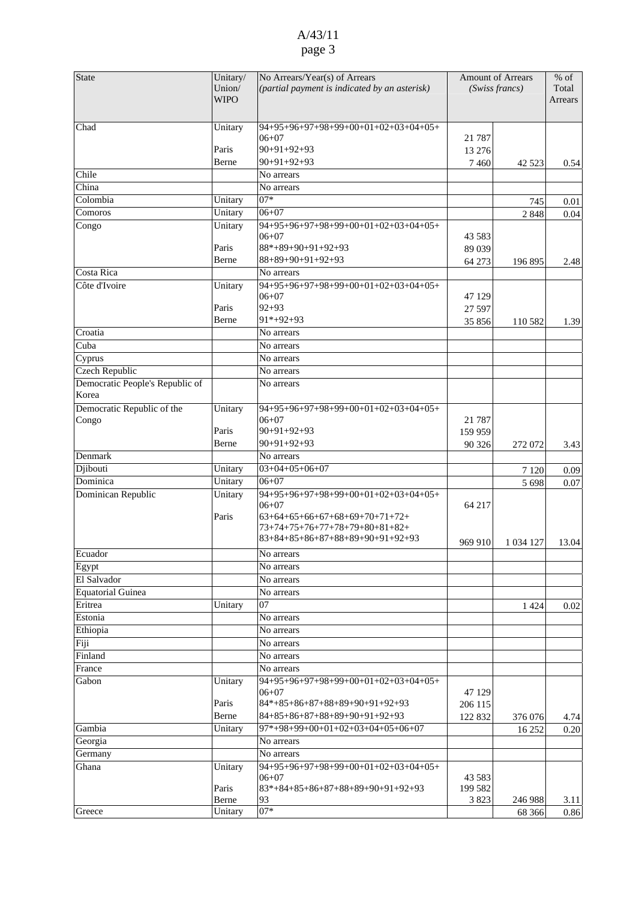| State                                    | Unitary/<br>Union/<br><b>WIPO</b> | No Arrears/Year(s) of Arrears<br>(partial payment is indicated by an asterisk)                                                                              | <b>Amount of Arrears</b><br>(Swiss francs) |             | % of<br>Total<br>Arrears |
|------------------------------------------|-----------------------------------|-------------------------------------------------------------------------------------------------------------------------------------------------------------|--------------------------------------------|-------------|--------------------------|
| Chad                                     | Unitary                           | $94+95+96+97+98+99+00+01+02+03+04+05+$                                                                                                                      |                                            |             |                          |
|                                          |                                   | $06 + 07$                                                                                                                                                   | 21 7 8 7                                   |             |                          |
|                                          | Paris                             | $90+91+92+93$                                                                                                                                               | 13 276                                     |             |                          |
|                                          | Berne                             | $90+91+92+93$                                                                                                                                               | 7460                                       | 42 5 23     | 0.54                     |
| Chile                                    |                                   | No arrears                                                                                                                                                  |                                            |             |                          |
| China                                    |                                   | No arrears                                                                                                                                                  |                                            |             |                          |
| Colombia                                 | Unitary                           | $07*$                                                                                                                                                       |                                            | 745         | 0.01                     |
| Comoros                                  | Unitary                           | $06 + 07$                                                                                                                                                   |                                            | 2848        | 0.04                     |
| Congo                                    | Unitary                           | 94+95+96+97+98+99+00+01+02+03+04+05+<br>$06 + 07$                                                                                                           | 43 5 83                                    |             |                          |
|                                          | Paris                             | $88*+89+90+91+92+93$                                                                                                                                        | 89 039                                     |             |                          |
|                                          | Berne                             | $88+89+90+91+92+93$                                                                                                                                         | 64 273                                     | 196 895     | 2.48                     |
| Costa Rica                               |                                   | No arrears                                                                                                                                                  |                                            |             |                          |
| Côte d'Ivoire                            | Unitary                           | 94+95+96+97+98+99+00+01+02+03+04+05+<br>$06 + 07$                                                                                                           | 47 129                                     |             |                          |
|                                          | Paris                             | $92 + 93$                                                                                                                                                   | 27 597                                     |             |                          |
|                                          | Berne                             | $91*+92+93$                                                                                                                                                 | 35856                                      | 110 582     | 1.39                     |
| Croatia                                  |                                   | No arrears                                                                                                                                                  |                                            |             |                          |
| Cuba                                     |                                   | No arrears                                                                                                                                                  |                                            |             |                          |
| Cyprus                                   |                                   | No arrears                                                                                                                                                  |                                            |             |                          |
| Czech Republic                           |                                   | No arrears                                                                                                                                                  |                                            |             |                          |
| Democratic People's Republic of<br>Korea |                                   | No arrears                                                                                                                                                  |                                            |             |                          |
| Democratic Republic of the               | Unitary                           | 94+95+96+97+98+99+00+01+02+03+04+05+                                                                                                                        |                                            |             |                          |
| Congo                                    |                                   | $06 + 07$                                                                                                                                                   | 21 7 8 7                                   |             |                          |
|                                          | Paris                             | $90+91+92+93$                                                                                                                                               | 159 959                                    |             |                          |
|                                          | Berne                             | $90+91+92+93$                                                                                                                                               | 90 326                                     | 272 072     | 3.43                     |
| Denmark                                  |                                   | No arrears                                                                                                                                                  |                                            |             |                          |
| Djibouti                                 | Unitary                           | $03+04+05+06+07$                                                                                                                                            |                                            | 7 1 2 0     | 0.09                     |
| Dominica                                 | Unitary                           | $06 + 07$                                                                                                                                                   |                                            | 5 6 9 8     | 0.07                     |
| Dominican Republic                       | Unitary<br>Paris                  | 94+95+96+97+98+99+00+01+02+03+04+05+<br>$06 + 07$<br>$63+64+65+66+67+68+69+70+71+72+$<br>73+74+75+76+77+78+79+80+81+82+<br>83+84+85+86+87+88+89+90+91+92+93 | 64 217                                     |             |                          |
|                                          |                                   |                                                                                                                                                             | 969 910                                    | 1 0 34 1 27 | 13.04                    |
| Ecuador                                  |                                   | No arrears                                                                                                                                                  |                                            |             |                          |
| Egypt<br>El Salvador                     |                                   | No arrears                                                                                                                                                  |                                            |             |                          |
|                                          |                                   | No arrears                                                                                                                                                  |                                            |             |                          |
| Equatorial Guinea<br>Eritrea             |                                   | No arrears<br>07                                                                                                                                            |                                            |             |                          |
|                                          | Unitary                           |                                                                                                                                                             |                                            | 1 4 2 4     | $0.02\,$                 |
| Estonia                                  |                                   | No arrears<br>No arrears                                                                                                                                    |                                            |             |                          |
| Ethiopia<br>Fiji                         |                                   | No arrears                                                                                                                                                  |                                            |             |                          |
| Finland                                  |                                   | No arrears                                                                                                                                                  |                                            |             |                          |
| France                                   |                                   | No arrears                                                                                                                                                  |                                            |             |                          |
| Gabon                                    | Unitary                           | 94+95+96+97+98+99+00+01+02+03+04+05+                                                                                                                        |                                            |             |                          |
|                                          | Paris                             | $06 + 07$<br>$84*+85+86+87+88+89+90+91+92+93$                                                                                                               | 47 129                                     |             |                          |
|                                          | Berne                             | 84+85+86+87+88+89+90+91+92+93                                                                                                                               | 206 115<br>122 832                         | 376 076     |                          |
| Gambia                                   | Unitary                           | $97*+98+99+00+01+02+03+04+05+06+07$                                                                                                                         |                                            |             | 4.74                     |
| Georgia                                  |                                   | No arrears                                                                                                                                                  |                                            | 16 25 2     | 0.20                     |
| Germany                                  |                                   | No arrears                                                                                                                                                  |                                            |             |                          |
| Ghana                                    | Unitary                           | 94+95+96+97+98+99+00+01+02+03+04+05+                                                                                                                        |                                            |             |                          |
|                                          | Paris                             | $06 + 07$<br>$83*+84+85+86+87+88+89+90+91+92+93$                                                                                                            | 43 583<br>199 582                          |             |                          |
|                                          | Berne                             | 93                                                                                                                                                          | 3823                                       | 246 988     | 3.11                     |
| Greece                                   | Unitary                           | $07*$                                                                                                                                                       |                                            | 68 366      | 0.86                     |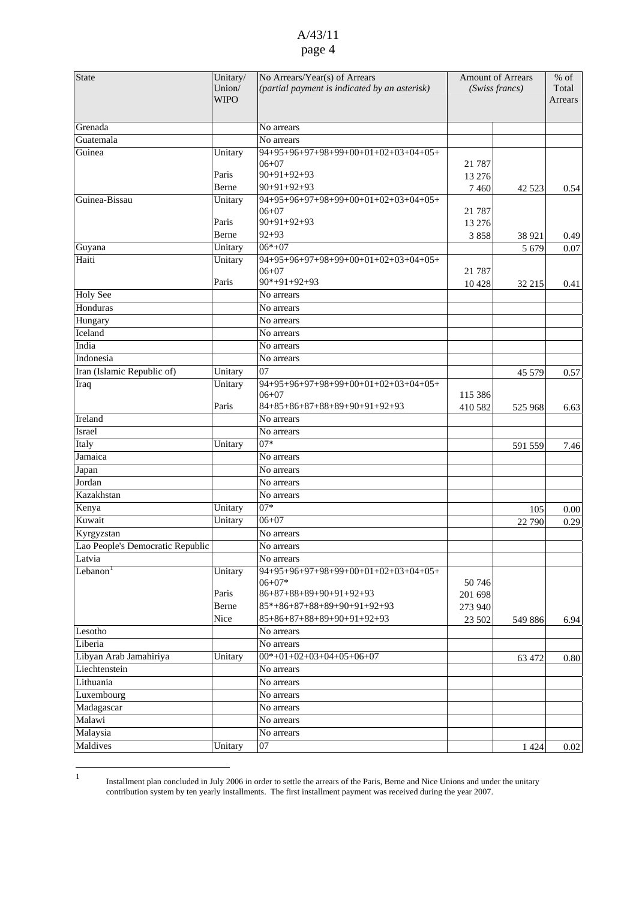| State                            | Unitary/<br>Union/<br><b>WIPO</b> | No Arrears/Year(s) of Arrears<br>(partial payment is indicated by an asterisk) |          | <b>Amount of Arrears</b><br>(Swiss francs) | $\%$ of<br>Total<br>Arrears |
|----------------------------------|-----------------------------------|--------------------------------------------------------------------------------|----------|--------------------------------------------|-----------------------------|
| Grenada                          |                                   | No arrears                                                                     |          |                                            |                             |
| Guatemala                        |                                   | No arrears                                                                     |          |                                            |                             |
| Guinea                           | Unitary                           | 94+95+96+97+98+99+00+01+02+03+04+05+                                           |          |                                            |                             |
|                                  |                                   | $06 + 07$                                                                      | 21 7 8 7 |                                            |                             |
|                                  | Paris                             | $90+91+92+93$                                                                  | 13 27 6  |                                            |                             |
|                                  | Berne                             | $90+91+92+93$                                                                  | 7 4 6 0  | 42 5 23                                    | 0.54                        |
| Guinea-Bissau                    | Unitary                           | 94+95+96+97+98+99+00+01+02+03+04+05+                                           |          |                                            |                             |
|                                  | Paris                             | $06 + 07$<br>$90+91+92+93$                                                     | 21 7 8 7 |                                            |                             |
|                                  | Berne                             | $92 + 93$                                                                      | 13 27 6  |                                            |                             |
|                                  |                                   | $06*+07$                                                                       | 3858     | 38 921                                     | 0.49                        |
| Guyana                           | Unitary                           |                                                                                |          | 5 6 7 9                                    | 0.07                        |
| Haiti                            | Unitary                           | 94+95+96+97+98+99+00+01+02+03+04+05+<br>$06 + 07$                              | 21 7 8 7 |                                            |                             |
|                                  | Paris                             | $90*+91+92+93$                                                                 | 10428    | 32 215                                     | 0.41                        |
| <b>Holy See</b>                  |                                   | No arrears                                                                     |          |                                            |                             |
| Honduras                         |                                   | No arrears                                                                     |          |                                            |                             |
| Hungary                          |                                   | No arrears                                                                     |          |                                            |                             |
| Iceland                          |                                   | No arrears                                                                     |          |                                            |                             |
| India                            |                                   | No arrears                                                                     |          |                                            |                             |
| Indonesia                        |                                   | No arrears                                                                     |          |                                            |                             |
| Iran (Islamic Republic of)       | Unitary                           | 07                                                                             |          |                                            |                             |
| Iraq                             | Unitary                           | 94+95+96+97+98+99+00+01+02+03+04+05+                                           |          | 45 579                                     | 0.57                        |
|                                  |                                   | $06+07$                                                                        | 115 386  |                                            |                             |
|                                  | Paris                             | 84+85+86+87+88+89+90+91+92+93                                                  | 410 582  | 525 968                                    | 6.63                        |
| Ireland                          |                                   | No arrears                                                                     |          |                                            |                             |
| Israel                           |                                   | No arrears                                                                     |          |                                            |                             |
| Italy                            | Unitary                           | $07*$                                                                          |          | 591 559                                    | 7.46                        |
| Jamaica                          |                                   | No arrears                                                                     |          |                                            |                             |
| Japan                            |                                   | No arrears                                                                     |          |                                            |                             |
| Jordan                           |                                   | No arrears                                                                     |          |                                            |                             |
| Kazakhstan                       |                                   | No arrears                                                                     |          |                                            |                             |
| Kenya                            | Unitary                           | $07*$                                                                          |          | 105                                        | 0.00                        |
| Kuwait                           | Unitary                           | $06+07$                                                                        |          | 22 790                                     | 0.29                        |
| Kyrgyzstan                       |                                   | No arrears                                                                     |          |                                            |                             |
| Lao People's Democratic Republic |                                   | No arrears                                                                     |          |                                            |                             |
| Latvia                           |                                   | No arrears                                                                     |          |                                            |                             |
| Lebanon $1$                      | Unitary                           | $94+95+96+97+98+99+00+01+02+03+04+05+$                                         |          |                                            |                             |
|                                  |                                   | $06 + 07*$                                                                     | 50746    |                                            |                             |
|                                  | Paris                             | $86+87+88+89+90+91+92+93$                                                      | 201 698  |                                            |                             |
|                                  | Berne                             | $85*+86+87+88+89+90+91+92+93$                                                  | 273 940  |                                            |                             |
|                                  | Nice                              | $85+86+87+88+89+90+91+92+93$                                                   | 23 502   | 549 886                                    | 6.94                        |
| Lesotho                          |                                   | No arrears                                                                     |          |                                            |                             |
| Liberia                          |                                   | No arrears                                                                     |          |                                            |                             |
| Libyan Arab Jamahiriya           | Unitary                           | $00*+01+02+03+04+05+06+07$                                                     |          | 63 472                                     | 0.80                        |
| Liechtenstein                    |                                   | No arrears                                                                     |          |                                            |                             |
| Lithuania                        |                                   | No arrears                                                                     |          |                                            |                             |
| Luxembourg                       |                                   | No arrears                                                                     |          |                                            |                             |
| Madagascar                       |                                   | No arrears                                                                     |          |                                            |                             |
| Malawi                           |                                   | No arrears                                                                     |          |                                            |                             |
| Malaysia                         |                                   | No arrears                                                                     |          |                                            |                             |
| Maldives                         | Unitary                           | 07                                                                             |          | 1 4 2 4                                    | 0.02                        |

<span id="page-3-0"></span> $\frac{1}{1}$  Installment plan concluded in July 2006 in order to settle the arrears of the Paris, Berne and Nice Unions and under the unitary contribution system by ten yearly installments. The first installment payment was received during the year 2007.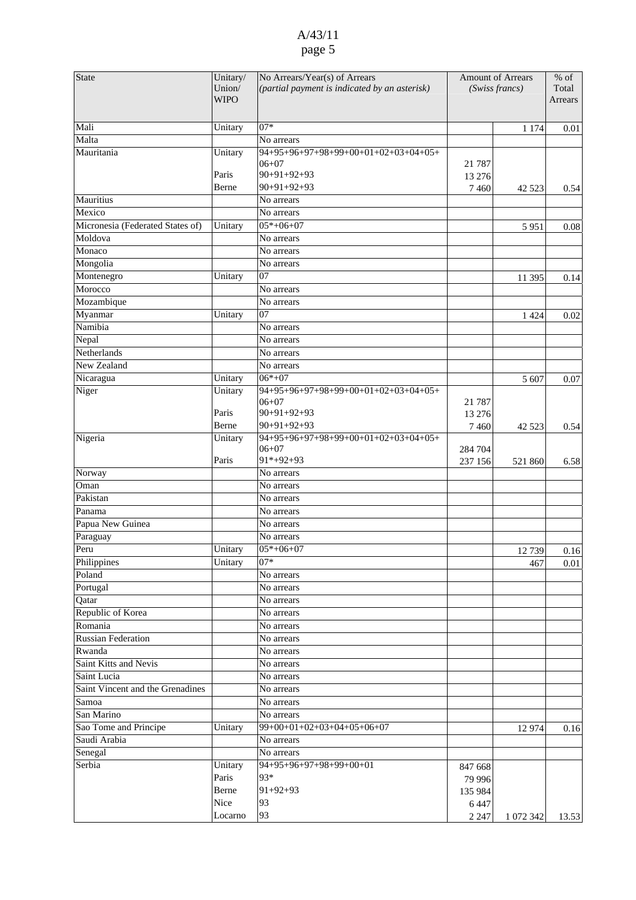| <b>State</b>                     | Unitary/    | No Arrears/Year(s) of Arrears                 | <b>Amount of Arrears</b> |                | $%$ of  |
|----------------------------------|-------------|-----------------------------------------------|--------------------------|----------------|---------|
|                                  | Union/      | (partial payment is indicated by an asterisk) |                          | (Swiss francs) | Total   |
|                                  | <b>WIPO</b> |                                               |                          |                | Arrears |
|                                  |             |                                               |                          |                |         |
| Mali                             | Unitary     | $07*$                                         |                          | 1 1 7 4        | 0.01    |
| Malta                            |             | No arrears                                    |                          |                |         |
| Mauritania                       | Unitary     | 94+95+96+97+98+99+00+01+02+03+04+05+          |                          |                |         |
|                                  |             | $06 + 07$                                     | 21 7 8 7                 |                |         |
|                                  | Paris       | $90+91+92+93$                                 | 13 27 6                  |                |         |
|                                  | Berne       | $90+91+92+93$                                 | 7460                     | 42 5 23        | 0.54    |
| Mauritius                        |             | No arrears                                    |                          |                |         |
| Mexico                           |             | No arrears                                    |                          |                |         |
| Micronesia (Federated States of) | Unitary     | $\overline{05}$ *+06+07                       |                          | 5951           | 0.08    |
| Moldova                          |             | No arrears                                    |                          |                |         |
| Monaco                           |             | No arrears                                    |                          |                |         |
| Mongolia                         |             | No arrears                                    |                          |                |         |
| Montenegro                       | Unitary     | 07                                            |                          | 11 395         | 0.14    |
| Morocco                          |             | No arrears                                    |                          |                |         |
| Mozambique                       |             | No arrears                                    |                          |                |         |
| Myanmar                          | Unitary     | 07                                            |                          | 1 4 2 4        | 0.02    |
| Namibia                          |             | No arrears                                    |                          |                |         |
| Nepal                            |             | No arrears                                    |                          |                |         |
| Netherlands                      |             | No arrears                                    |                          |                |         |
| New Zealand                      |             | No arrears                                    |                          |                |         |
| Nicaragua                        | Unitary     | $06*+07$                                      |                          | 5 607          | 0.07    |
| Niger                            | Unitary     | 94+95+96+97+98+99+00+01+02+03+04+05+          |                          |                |         |
|                                  |             | $06 + 07$                                     | 21 7 8 7                 |                |         |
|                                  | Paris       | $90+91+92+93$                                 | 13 276                   |                |         |
|                                  | Berne       | $90+91+92+93$                                 | 7460                     | 42 5 23        | 0.54    |
| Nigeria                          | Unitary     | 94+95+96+97+98+99+00+01+02+03+04+05+          |                          |                |         |
|                                  |             | $06 + 07$                                     | 284 704                  |                |         |
|                                  | Paris       | $91*+92+93$                                   | 237 156                  | 521 860        | 6.58    |
| Norway                           |             | No arrears                                    |                          |                |         |
| Oman                             |             | No arrears                                    |                          |                |         |
| Pakistan                         |             | No arrears                                    |                          |                |         |
| Panama                           |             | No arrears                                    |                          |                |         |
| Papua New Guinea                 |             | No arrears                                    |                          |                |         |
| Paraguay                         |             | No arrears                                    |                          |                |         |
| Peru                             | Unitary     | $05*+06+07$                                   |                          | 12739          | 0.16    |
| Philippines                      | Unitary     | $07*$                                         |                          | 467            | 0.01    |
| Poland                           |             | No arrears                                    |                          |                |         |
| Portugal                         |             | No arrears                                    |                          |                |         |
| Qatar                            |             | No arrears                                    |                          |                |         |
| Republic of Korea                |             | No arrears                                    |                          |                |         |
| Romania                          |             | No arrears                                    |                          |                |         |
| <b>Russian Federation</b>        |             | No arrears                                    |                          |                |         |
| Rwanda                           |             | No arrears                                    |                          |                |         |
| Saint Kitts and Nevis            |             | No arrears                                    |                          |                |         |
| Saint Lucia                      |             | No arrears                                    |                          |                |         |
| Saint Vincent and the Grenadines |             | No arrears                                    |                          |                |         |
| Samoa                            |             | No arrears                                    |                          |                |         |
| San Marino                       |             | No arrears                                    |                          |                |         |
| Sao Tome and Principe            | Unitary     | $99+00+01+02+03+04+05+06+07$                  |                          |                |         |
|                                  |             |                                               |                          | 12 974         | 0.16    |
| Saudi Arabia                     |             | No arrears                                    |                          |                |         |
| Senegal                          |             | No arrears                                    |                          |                |         |
| Serbia                           | Unitary     | 94+95+96+97+98+99+00+01                       | 847 668                  |                |         |
|                                  | Paris       | 93*                                           | 79 996                   |                |         |
|                                  | Berne       | $91+92+93$                                    | 135 984                  |                |         |
|                                  | Nice        | 93                                            | 6447                     |                |         |
|                                  | Locarno     | 93                                            | 2 2 4 7                  | 1 072 342      | 13.53   |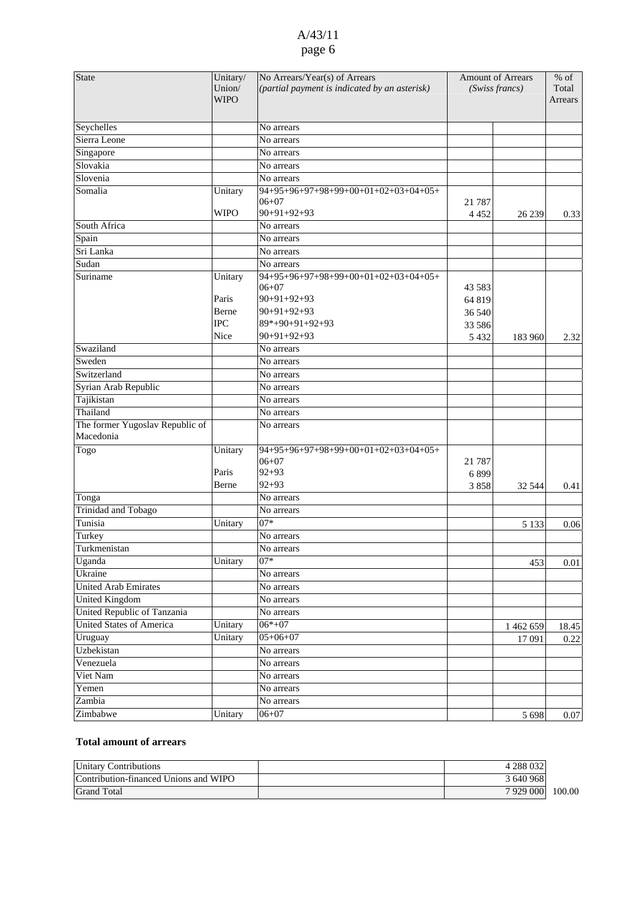| <b>State</b>                                 | Unitary/<br>Union/<br><b>WIPO</b> | No Arrears/Year(s) of Arrears<br>(partial payment is indicated by an asterisk) | <b>Amount of Arrears</b><br>(Swiss francs) |           | $%$ of<br>Total<br>Arrears |
|----------------------------------------------|-----------------------------------|--------------------------------------------------------------------------------|--------------------------------------------|-----------|----------------------------|
| Seychelles                                   |                                   | No arrears                                                                     |                                            |           |                            |
| Sierra Leone                                 |                                   | No arrears                                                                     |                                            |           |                            |
| Singapore                                    |                                   | No arrears                                                                     |                                            |           |                            |
| Slovakia                                     |                                   | No arrears                                                                     |                                            |           |                            |
| Slovenia                                     |                                   | No arrears                                                                     |                                            |           |                            |
| Somalia                                      | Unitary                           | 94+95+96+97+98+99+00+01+02+03+04+05+                                           |                                            |           |                            |
|                                              | <b>WIPO</b>                       | $06 + 07$<br>$90+91+92+93$                                                     | 21 7 8 7                                   |           |                            |
| South Africa                                 |                                   | No arrears                                                                     | 4 4 5 2                                    | 26 239    | 0.33                       |
| Spain                                        |                                   | No arrears                                                                     |                                            |           |                            |
| Sri Lanka                                    |                                   | No arrears                                                                     |                                            |           |                            |
| Sudan                                        |                                   | No arrears                                                                     |                                            |           |                            |
| Suriname                                     | Unitary                           | 94+95+96+97+98+99+00+01+02+03+04+05+                                           |                                            |           |                            |
|                                              |                                   | $06 + 07$                                                                      | 43 5 83                                    |           |                            |
|                                              | Paris                             | $90+91+92+93$                                                                  | 64 819                                     |           |                            |
|                                              | Berne                             | $90+91+92+93$                                                                  | 36 540                                     |           |                            |
|                                              | <b>IPC</b>                        | 89*+90+91+92+93                                                                | 33 586                                     |           |                            |
|                                              | Nice                              | $90+91+92+93$                                                                  | 5 4 3 2                                    | 183 960   | 2.32                       |
| Swaziland                                    |                                   | No arrears                                                                     |                                            |           |                            |
| Sweden                                       |                                   | No arrears                                                                     |                                            |           |                            |
| Switzerland                                  |                                   | No arrears                                                                     |                                            |           |                            |
| Syrian Arab Republic                         |                                   | No arrears                                                                     |                                            |           |                            |
| Tajikistan                                   |                                   | No arrears                                                                     |                                            |           |                            |
| Thailand                                     |                                   | No arrears                                                                     |                                            |           |                            |
| The former Yugoslav Republic of<br>Macedonia |                                   | No arrears                                                                     |                                            |           |                            |
| Togo                                         | Unitary                           | 94+95+96+97+98+99+00+01+02+03+04+05+<br>$06 + 07$                              | 21 7 8 7                                   |           |                            |
|                                              | Paris                             | $92 + 93$                                                                      | 6899                                       |           |                            |
|                                              | Berne                             | $92 + 93$                                                                      | 3858                                       | 32 544    | 0.41                       |
| Tonga                                        |                                   | No arrears                                                                     |                                            |           |                            |
| <b>Trinidad and Tobago</b>                   |                                   | No arrears                                                                     |                                            |           |                            |
| Tunisia                                      | Unitary                           | $07*$                                                                          |                                            | 5 1 3 3   | 0.06                       |
| Turkey                                       |                                   | No arrears                                                                     |                                            |           |                            |
| Turkmenistan                                 |                                   | No arrears                                                                     |                                            |           |                            |
| Uganda                                       | Unitary                           | $07*$                                                                          |                                            | 453       | 0.01                       |
| Ukraine                                      |                                   | No arrears                                                                     |                                            |           |                            |
| United Arab Emirates                         |                                   | No arrears                                                                     |                                            |           |                            |
| <b>United Kingdom</b>                        |                                   | No arrears                                                                     |                                            |           |                            |
| United Republic of Tanzania                  |                                   | No arrears                                                                     |                                            |           |                            |
| <b>United States of America</b>              | Unitary                           | $06*+07$                                                                       |                                            | 1 462 659 | 18.45                      |
| Uruguay                                      | Unitary                           | $05+06+07$                                                                     |                                            | 17 091    | 0.22                       |
| Uzbekistan                                   |                                   | No arrears                                                                     |                                            |           |                            |
| Venezuela                                    |                                   | No arrears                                                                     |                                            |           |                            |
| Viet Nam                                     |                                   | No arrears                                                                     |                                            |           |                            |
| Yemen                                        |                                   | No arrears                                                                     |                                            |           |                            |
| Zambia                                       |                                   | No arrears                                                                     |                                            |           |                            |
| Zimbabwe                                     | Unitary                           | $06 + 07$                                                                      |                                            | 5 6 9 8   | 0.07                       |

#### **Total amount of arrears**

| Unitary Contributions                 | 4 288 032 |        |
|---------------------------------------|-----------|--------|
| Contribution-financed Unions and WIPO | 3 640 968 |        |
| <b>Grand Total</b>                    | 7929000   | 100.00 |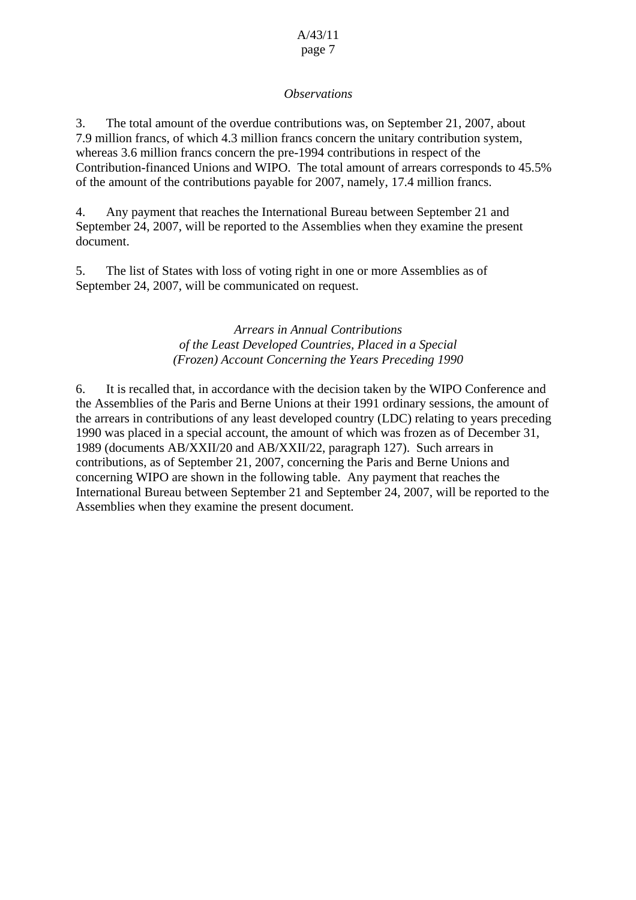### *Observations*

3. The total amount of the overdue contributions was, on September 21, 2007, about 7.9 million francs, of which 4.3 million francs concern the unitary contribution system, whereas 3.6 million francs concern the pre-1994 contributions in respect of the Contribution-financed Unions and WIPO. The total amount of arrears corresponds to 45.5% of the amount of the contributions payable for 2007, namely, 17.4 million francs.

4. Any payment that reaches the International Bureau between September 21 and September 24, 2007, will be reported to the Assemblies when they examine the present document.

5. The list of States with loss of voting right in one or more Assemblies as of September 24, 2007, will be communicated on request.

### *Arrears in Annual Contributions of the Least Developed Countries, Placed in a Special (Frozen) Account Concerning the Years Preceding 1990*

6. It is recalled that, in accordance with the decision taken by the WIPO Conference and the Assemblies of the Paris and Berne Unions at their 1991 ordinary sessions, the amount of the arrears in contributions of any least developed country (LDC) relating to years preceding 1990 was placed in a special account, the amount of which was frozen as of December 31, 1989 (documents AB/XXII/20 and AB/XXII/22, paragraph 127). Such arrears in contributions, as of September 21, 2007, concerning the Paris and Berne Unions and concerning WIPO are shown in the following table. Any payment that reaches the International Bureau between September 21 and September 24, 2007, will be reported to the Assemblies when they examine the present document.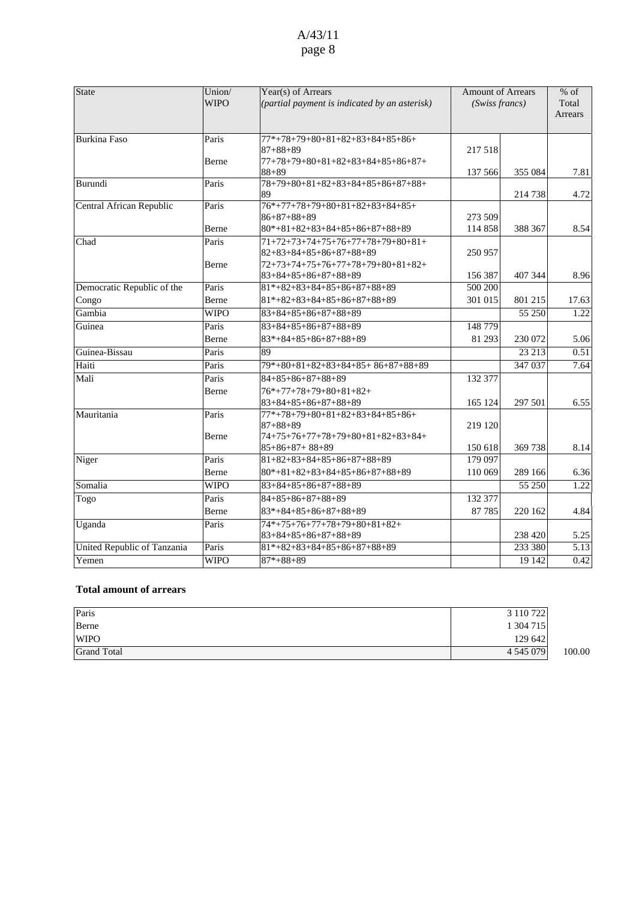| State                       | Union/<br><b>WIPO</b> | Year(s) of Arrears<br>(partial payment is indicated by an asterisk)                                     | <b>Amount of Arrears</b><br>(Swiss francs) |         | % of<br>Total<br>Arrears |
|-----------------------------|-----------------------|---------------------------------------------------------------------------------------------------------|--------------------------------------------|---------|--------------------------|
| <b>Burkina Faso</b>         | Paris                 | $77*+78+79+80+81+82+83+84+85+86+$<br>$87 + 88 + 89$                                                     | 217 518                                    |         |                          |
|                             | Berne                 | 77+78+79+80+81+82+83+84+85+86+87+<br>$88 + 89$                                                          | 137 566                                    | 355 084 | 7.81                     |
| Burundi                     | Paris                 | 78+79+80+81+82+83+84+85+86+87+88+<br>89                                                                 |                                            | 214 738 | 4.72                     |
| Central African Republic    | Paris                 | $76*+77+78+79+80+81+82+83+84+85+$<br>$86 + 87 + 88 + 89$                                                | 273 509                                    |         |                          |
|                             | Berne                 | $80*+81+82+83+84+85+86+87+88+89$                                                                        | 114 858                                    | 388 367 | 8.54                     |
| Chad                        | Paris<br>Berne        | $71+72+73+74+75+76+77+78+79+80+81+$<br>$82+83+84+85+86+87+88+89$<br>$72+73+74+75+76+77+78+79+80+81+82+$ | 250 957                                    |         |                          |
|                             |                       | 83+84+85+86+87+88+89                                                                                    | 156 387                                    | 407 344 | 8.96                     |
| Democratic Republic of the  | Paris                 | $81*+82+83+84+85+86+87+88+89$                                                                           | 500 200                                    |         |                          |
| Congo                       | <b>Berne</b>          | $81*+82+83+84+85+86+87+88+89$                                                                           | 301 015                                    | 801 215 | 17.63                    |
| Gambia                      | <b>WIPO</b>           | $83+84+85+86+87+88+89$                                                                                  |                                            | 55 250  | 1.22                     |
| Guinea                      | Paris                 | $83+84+85+86+87+88+89$                                                                                  | 148 779                                    |         |                          |
|                             | Berne                 | $83*+84+85+86+87+88+89$                                                                                 | 81 293                                     | 230 072 | 5.06                     |
| Guinea-Bissau               | Paris                 | 89                                                                                                      |                                            | 23 213  | 0.51                     |
| Haiti                       | Paris                 | 79*+80+81+82+83+84+85+86+87+88+89                                                                       |                                            | 347 037 | 7.64                     |
| Mali                        | Paris                 | $84 + 85 + 86 + 87 + 88 + 89$                                                                           | 132 377                                    |         |                          |
|                             | Berne                 | $76*+77+78+79+80+81+82+$<br>$83+84+85+86+87+88+89$                                                      | 165 124                                    | 297 501 | 6.55                     |
| Mauritania                  | Paris<br>Berne        | $77*+78+79+80+81+82+83+84+85+86+$<br>$87 + 88 + 89$<br>74+75+76+77+78+79+80+81+82+83+84+                | 219 120                                    |         |                          |
|                             |                       | $85+86+87+88+89$                                                                                        | 150 618                                    | 369 738 | 8.14                     |
| Niger                       | Paris                 | $81+82+83+84+85+86+87+88+89$                                                                            | 179 097                                    |         |                          |
|                             | Berne                 | $80*+81+82+83+84+85+86+87+88+89$                                                                        | 110 069                                    | 289 166 | 6.36                     |
| Somalia                     | <b>WIPO</b>           | $83+84+85+86+87+88+89$                                                                                  |                                            | 55 250  | 1.22                     |
| Togo                        | Paris                 | $84 + 85 + 86 + 87 + 88 + 89$                                                                           | 132 377                                    |         |                          |
|                             | Berne                 | $83*+84+85+86+87+88+89$                                                                                 | 87 785                                     | 220 162 | 4.84                     |
| Uganda                      | Paris                 | $74*+75+76+77+78+79+80+81+82+$                                                                          |                                            |         |                          |
|                             |                       | $83+84+85+86+87+88+89$                                                                                  |                                            | 238 420 | 5.25                     |
| United Republic of Tanzania | Paris                 | $81*+82+83+84+85+86+87+88+89$                                                                           |                                            | 233 380 | $\overline{5.13}$        |
| Yemen                       | <b>WIPO</b>           | $87*+88+89$                                                                                             |                                            | 19 142  | 0.42                     |

#### **Total amount of arrears**

| Paris              | 3 110 722     |        |
|--------------------|---------------|--------|
| Berne              | 304 715       |        |
| <b>WIPO</b>        | 129 642       |        |
| <b>Grand Total</b> | 4 5 4 5 0 7 9 | 100.00 |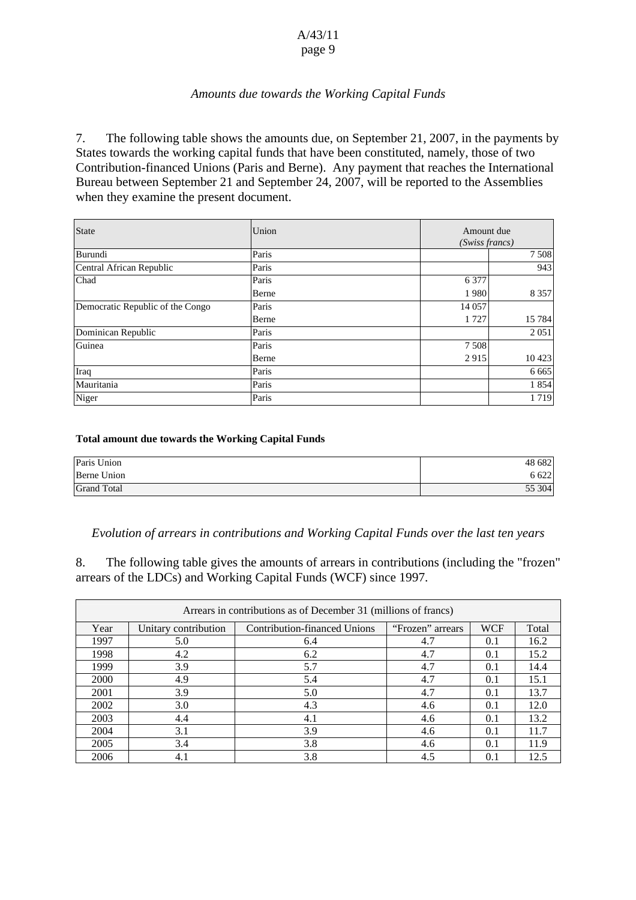## *Amounts due towards the Working Capital Funds*

7. The following table shows the amounts due, on September 21, 2007, in the payments by States towards the working capital funds that have been constituted, namely, those of two Contribution-financed Unions (Paris and Berne). Any payment that reaches the International Bureau between September 21 and September 24, 2007, will be reported to the Assemblies when they examine the present document.

| <b>State</b>                     | Union |         | Amount due<br>(Swiss francs) |  |
|----------------------------------|-------|---------|------------------------------|--|
| Burundi                          | Paris |         | 7508                         |  |
| Central African Republic         | Paris |         | 943                          |  |
| Chad                             | Paris | 6 3 7 7 |                              |  |
|                                  | Berne | 1980    | 8 3 5 7                      |  |
| Democratic Republic of the Congo | Paris | 14 057  |                              |  |
|                                  | Berne | 1 7 2 7 | 15 7 84                      |  |
| Dominican Republic               | Paris |         | 2 0 5 1                      |  |
| Guinea                           | Paris | 7508    |                              |  |
|                                  | Berne | 2915    | 10 4 23                      |  |
| Iraq                             | Paris |         | 6 6 6 5                      |  |
| Mauritania                       | Paris |         | 1854                         |  |
| Niger                            | Paris |         | 1719                         |  |

#### **Total amount due towards the Working Capital Funds**

| Paris Union        | 48 682 |
|--------------------|--------|
| Berne Union        | 6 6 22 |
| <b>Grand Total</b> | 55 304 |

#### *Evolution of arrears in contributions and Working Capital Funds over the last ten years*

8. The following table gives the amounts of arrears in contributions (including the "frozen" arrears of the LDCs) and Working Capital Funds (WCF) since 1997.

| Arrears in contributions as of December 31 (millions of francs) |                      |                                     |                  |            |       |  |
|-----------------------------------------------------------------|----------------------|-------------------------------------|------------------|------------|-------|--|
| Year                                                            | Unitary contribution | <b>Contribution-financed Unions</b> | "Frozen" arrears | <b>WCF</b> | Total |  |
| 1997                                                            | 5.0                  | 6.4                                 | 4.7              | 0.1        | 16.2  |  |
| 1998                                                            | 4.2                  | 6.2                                 | 4.7              | 0.1        | 15.2  |  |
| 1999                                                            | 3.9                  | 5.7                                 | 4.7              | 0.1        | 14.4  |  |
| 2000                                                            | 4.9                  | 5.4                                 | 4.7              | 0.1        | 15.1  |  |
| 2001                                                            | 3.9                  | 5.0                                 | 4.7              | 0.1        | 13.7  |  |
| 2002                                                            | 3.0                  | 4.3                                 | 4.6              | 0.1        | 12.0  |  |
| 2003                                                            | 4.4                  | 4.1                                 | 4.6              | 0.1        | 13.2  |  |
| 2004                                                            | 3.1                  | 3.9                                 | 4.6              | 0.1        | 11.7  |  |
| 2005                                                            | 3.4                  | 3.8                                 | 4.6              | 0.1        | 11.9  |  |
| 2006                                                            | 4.1                  | 3.8                                 | 4.5              | 0.1        | 12.5  |  |